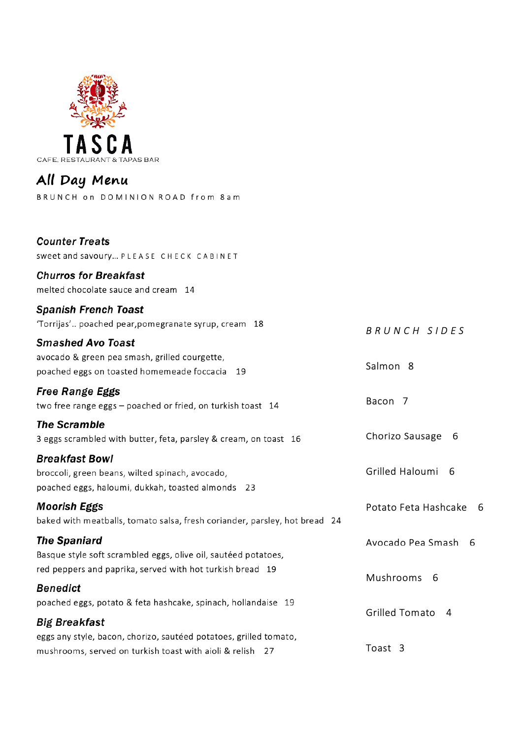

## All Day Menu

BRUNCH on DOMINION ROAD from 8am

| <b>Counter Treats</b><br>Sweet and savoury PLEASE CHECK CABINET                                                            |                      |
|----------------------------------------------------------------------------------------------------------------------------|----------------------|
| <b>Churros for Breakfast</b><br>melted chocolate sauce and cream 14                                                        |                      |
| <b>Spanish French Toast</b><br>'Torrijas' poached pear, pomegranate syrup, cream 18                                        | BRUNCH SIDES         |
| <b>Smashed Avo Toast</b><br>avocado & green pea smash, grilled courgette,<br>poached eggs on toasted homemeade foccacia 19 | Salmon <sub>8</sub>  |
| <b>Free Range Eggs</b><br>two free range eggs - poached or fried, on turkish toast 14                                      | Bacon 7              |
| <b>The Scramble</b><br>3 eggs scrambled with butter, feta, parsley & cream, on toast 16                                    | Chorizo Sausage<br>6 |

#### **Breakfast Bowl**

broccoli, green beans, wilted spinach, avocado, poached eggs, haloumi, dukkah, toasted almonds 23

**Moorish Eggs** baked with meatballs, tomato salsa, fresh coriander, parsley, hot bread 24

| <b>The Spaniard</b><br>Basque style soft scrambled eggs, olive oil, sautéed potatoes, | Avocado Pea Smash 6 |  |
|---------------------------------------------------------------------------------------|---------------------|--|
| red peppers and paprika, served with hot turkish bread 19                             | Mushrooms 6         |  |
| <b>Benedict</b>                                                                       |                     |  |
| poached eggs, potato & feta hashcake, spinach, hollandaise 19                         | Grilled Tomato 4    |  |
| <b>Big Breakfast</b>                                                                  |                     |  |

eggs any style, bacon, chorizo, sautéed potatoes, grilled tomato, mushrooms, served on turkish toast with aioli & relish 27

Toast 3

Grilled Haloumi 6

Potato Feta Hashcake 6